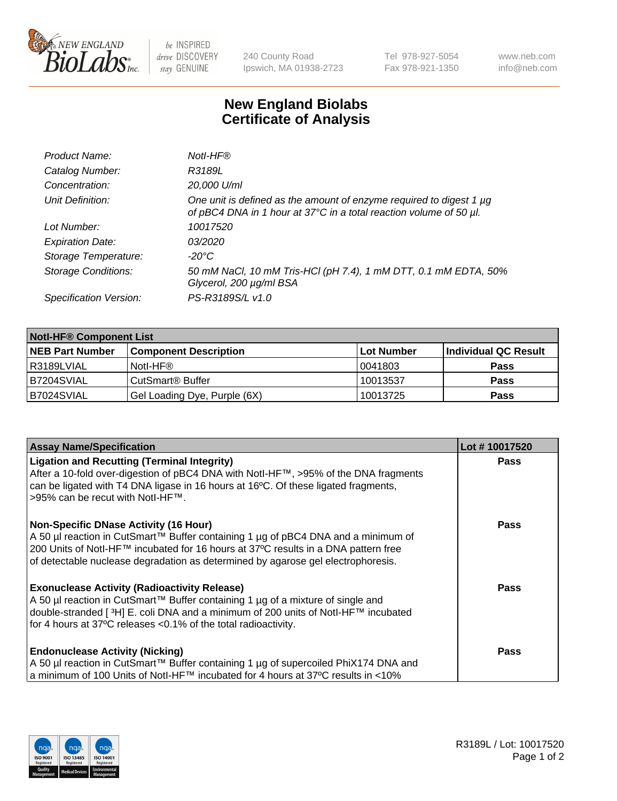

 $be$  INSPIRED drive DISCOVERY stay GENUINE

240 County Road Ipswich, MA 01938-2723 Tel 978-927-5054 Fax 978-921-1350 www.neb.com info@neb.com

## **New England Biolabs Certificate of Analysis**

| Product Name:              | Notl-HF®                                                                                                                                  |
|----------------------------|-------------------------------------------------------------------------------------------------------------------------------------------|
| Catalog Number:            | R3189L                                                                                                                                    |
| Concentration:             | 20,000 U/ml                                                                                                                               |
| Unit Definition:           | One unit is defined as the amount of enzyme required to digest 1 µg<br>of pBC4 DNA in 1 hour at 37°C in a total reaction volume of 50 µl. |
| Lot Number:                | 10017520                                                                                                                                  |
| <b>Expiration Date:</b>    | 03/2020                                                                                                                                   |
| Storage Temperature:       | $-20^{\circ}$ C                                                                                                                           |
| <b>Storage Conditions:</b> | 50 mM NaCl, 10 mM Tris-HCl (pH 7.4), 1 mM DTT, 0.1 mM EDTA, 50%<br>Glycerol, 200 µg/ml BSA                                                |
| Specification Version:     | PS-R3189S/L v1.0                                                                                                                          |

| <b>Notl-HF® Component List</b> |                              |            |                      |  |
|--------------------------------|------------------------------|------------|----------------------|--|
| <b>NEB Part Number</b>         | <b>Component Description</b> | Lot Number | Individual QC Result |  |
| I R3189LVIAL                   | Notl-HF®                     | 10041803   | <b>Pass</b>          |  |
| B7204SVIAL                     | CutSmart <sup>®</sup> Buffer | 10013537   | <b>Pass</b>          |  |
| B7024SVIAL                     | Gel Loading Dye, Purple (6X) | 10013725   | <b>Pass</b>          |  |

| <b>Assay Name/Specification</b>                                                                                                                                           | Lot #10017520 |
|---------------------------------------------------------------------------------------------------------------------------------------------------------------------------|---------------|
| <b>Ligation and Recutting (Terminal Integrity)</b>                                                                                                                        | <b>Pass</b>   |
| After a 10-fold over-digestion of pBC4 DNA with NotI-HF™, >95% of the DNA fragments<br>can be ligated with T4 DNA ligase in 16 hours at 16°C. Of these ligated fragments, |               |
| >95% can be recut with Notl-HF™.                                                                                                                                          |               |
| <b>Non-Specific DNase Activity (16 Hour)</b>                                                                                                                              | Pass          |
| A 50 µl reaction in CutSmart™ Buffer containing 1 µg of pBC4 DNA and a minimum of                                                                                         |               |
| 200 Units of Notl-HF™ incubated for 16 hours at 37°C results in a DNA pattern free                                                                                        |               |
| of detectable nuclease degradation as determined by agarose gel electrophoresis.                                                                                          |               |
| <b>Exonuclease Activity (Radioactivity Release)</b>                                                                                                                       | Pass          |
| A 50 µl reaction in CutSmart™ Buffer containing 1 µg of a mixture of single and                                                                                           |               |
| double-stranded [3H] E. coli DNA and a minimum of 200 units of Notl-HF™ incubated                                                                                         |               |
| for 4 hours at 37°C releases < 0.1% of the total radioactivity.                                                                                                           |               |
| <b>Endonuclease Activity (Nicking)</b>                                                                                                                                    | Pass          |
| A 50 µl reaction in CutSmart™ Buffer containing 1 µg of supercoiled PhiX174 DNA and                                                                                       |               |
| a minimum of 100 Units of Notl-HF™ incubated for 4 hours at 37°C results in <10%                                                                                          |               |